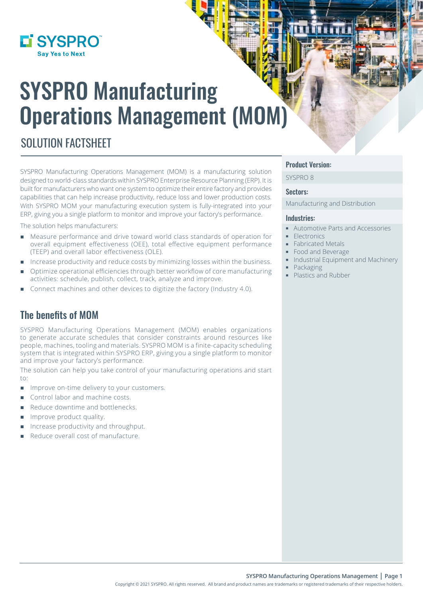

# SYSPRO Manufacturing Operations Management (MOM)

## SOLUTION FACTSHEET

SYSPRO Manufacturing Operations Management (MOM) is a manufacturing solution designed to world-class standards within SYSPRO Enterprise Resource Planning (ERP). It is built for manufacturers who want one system to optimize their entire factory and provides capabilities that can help increase productivity, reduce loss and lower production costs. With SYSPRO MOM your manufacturing execution system is fully-integrated into your ERP, giving you a single platform to monitor and improve your factory's performance.

The solution helps manufacturers:

- Measure performance and drive toward world class standards of operation for overall equipment effectiveness (OEE), total effective equipment performance (TEEP) and overall labor effectiveness (OLE).
- Increase productivity and reduce costs by minimizing losses within the business.
- Optimize operational efficiencies through better workflow of core manufacturing activities: schedule, publish, collect, track, analyze and improve.
- Connect machines and other devices to digitize the factory (Industry 4.0).

## The benefits of MOM

SYSPRO Manufacturing Operations Management (MOM) enables organizations to generate accurate schedules that consider constraints around resources like people, machines, tooling and materials. SYSPRO MOM is a finite-capacity scheduling system that is integrated within SYSPRO ERP, giving you a single platform to monitor and improve your factory's performance.

The solution can help you take control of your manufacturing operations and start to:

- **IMPROVE ON-time delivery to your customers.**
- Control labor and machine costs.
- Reduce downtime and bottlenecks.
- **Improve product quality.**
- Increase productivity and throughput.
- Reduce overall cost of manufacture.

#### Product Version:

SYSPRO 8

#### Sectors:

Manufacturing and Distribution

#### Industries:

- Automotive Parts and Accessories
- **Electronics**
- **Fabricated Metals**
- Food and Beverage
- $\blacksquare$  Industrial Equipment and Machinery
- **Packaging** 
	- Plastics and Rubber

Copyright © 2021 SYSPRO. All rights reserved. All brand and product names are trademarks or registered trademarks of their respective holders.